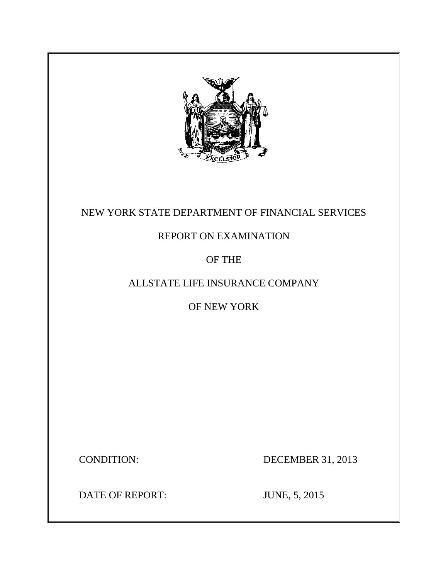

# NEW YORK STATE DEPARTMENT OF FINANCIAL SERVICES

# REPORT ON EXAMINATION

# OF THE

# ALLSTATE LIFE INSURANCE COMPANY

# OF NEW YORK

CONDITION: DECEMBER 31, 2013

DATE OF REPORT: JUNE, 5, 2015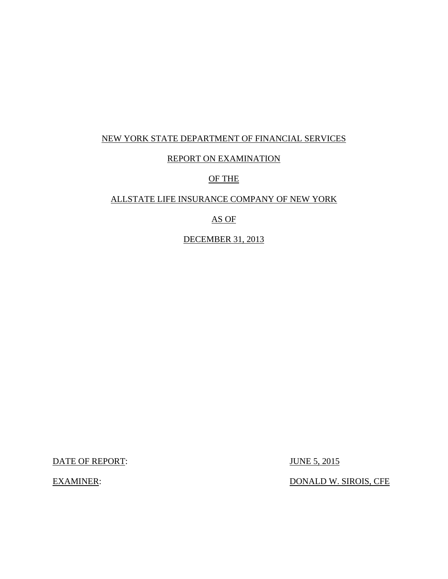## NEW YORK STATE DEPARTMENT OF FINANCIAL SERVICES

## REPORT ON EXAMINATION

## OF THE

## ALLSTATE LIFE INSURANCE COMPANY OF NEW YORK

## AS OF

## DECEMBER 31, 2013

DATE OF REPORT: JUNE 5, 2015

EXAMINER: DONALD W. SIROIS, CFE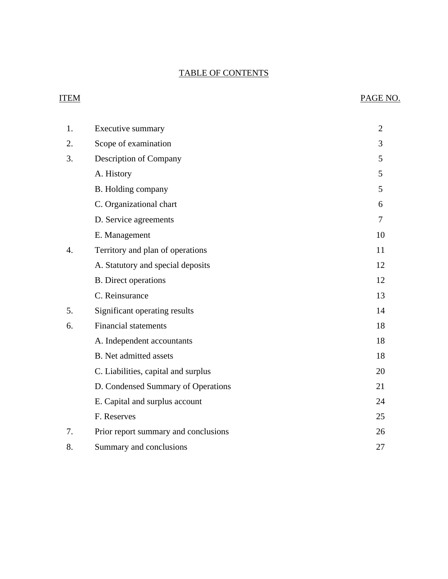## TABLE OF CONTENTS

# ITEM PAGE NO.

| 1. | <b>Executive summary</b>             | $\overline{2}$ |
|----|--------------------------------------|----------------|
| 2. | Scope of examination                 | 3              |
| 3. | <b>Description of Company</b>        | 5              |
|    | A. History                           | 5              |
|    | B. Holding company                   | 5              |
|    | C. Organizational chart              | 6              |
|    | D. Service agreements                | 7              |
|    | E. Management                        | 10             |
| 4. | Territory and plan of operations     | 11             |
|    | A. Statutory and special deposits    | 12             |
|    | <b>B.</b> Direct operations          | 12             |
|    | C. Reinsurance                       | 13             |
| 5. | Significant operating results        | 14             |
| 6. | <b>Financial statements</b>          | 18             |
|    | A. Independent accountants           | 18             |
|    | <b>B.</b> Net admitted assets        | 18             |
|    | C. Liabilities, capital and surplus  | 20             |
|    | D. Condensed Summary of Operations   | 21             |
|    | E. Capital and surplus account       | 24             |
|    | F. Reserves                          | 25             |
| 7. | Prior report summary and conclusions | 26             |
| 8. | Summary and conclusions              | 27             |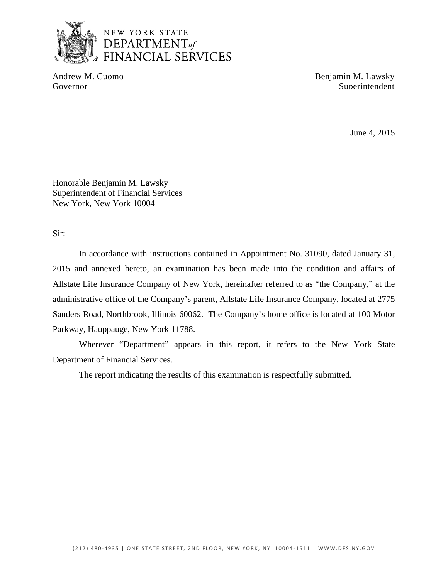

# NEW YORK STATE DEPARTMENT<sub>of</sub> FINANCIAL SERVICES

Andrew M. Cuomo Benjamin M. Lawsky Governor Superintendent Superintendent Superintendent Superintendent Superintendent

June 4, 2015

Honorable Benjamin M. Lawsky Superintendent of Financial Services New York, New York 10004

Sir:

In accordance with instructions contained in Appointment No. 31090, dated January 31, 2015 and annexed hereto, an examination has been made into the condition and affairs of Allstate Life Insurance Company of New York, hereinafter referred to as "the Company," at the administrative office of the Company's parent, Allstate Life Insurance Company, located at 2775 Sanders Road, Northbrook, Illinois 60062. The Company's home office is located at 100 Motor Parkway, Hauppauge, New York 11788.

Wherever "Department" appears in this report, it refers to the New York State Department of Financial Services.

The report indicating the results of this examination is respectfully submitted.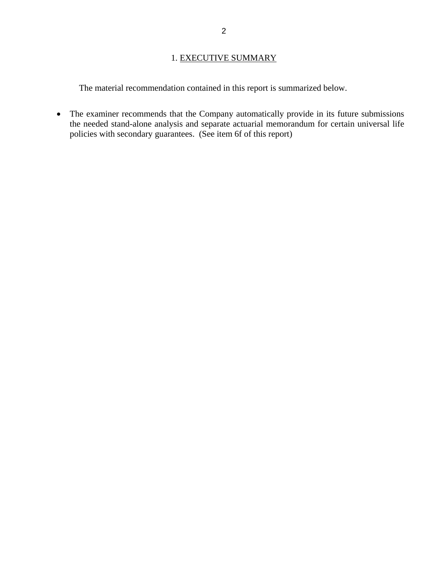## 1. EXECUTIVE SUMMARY

<span id="page-4-0"></span>The material recommendation contained in this report is summarized below.

• The examiner recommends that the Company automatically provide in its future submissions the needed stand-alone analysis and separate actuarial memorandum for certain universal life policies with secondary guarantees. (See item 6f of this report)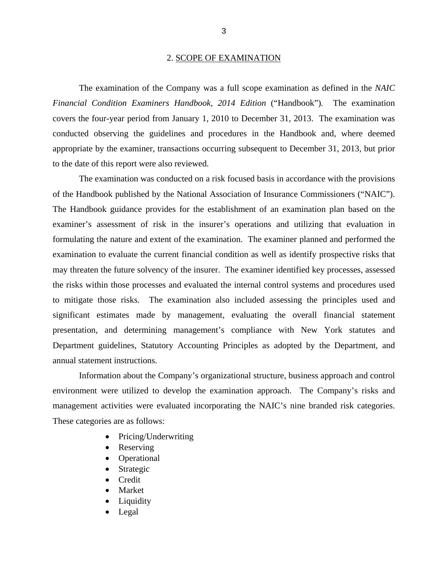#### 2. SCOPE OF EXAMINATION

<span id="page-5-0"></span>The examination of the Company was a full scope examination as defined in the *NAIC Financial Condition Examiners Handbook, 2014 Edition* ("Handbook")*.* The examination covers the four-year period from January 1, 2010 to December 31, 2013. The examination was conducted observing the guidelines and procedures in the Handbook and, where deemed appropriate by the examiner, transactions occurring subsequent to December 31, 2013, but prior to the date of this report were also reviewed.

The examination was conducted on a risk focused basis in accordance with the provisions of the Handbook published by the National Association of Insurance Commissioners ("NAIC"). The Handbook guidance provides for the establishment of an examination plan based on the examiner's assessment of risk in the insurer's operations and utilizing that evaluation in formulating the nature and extent of the examination. The examiner planned and performed the examination to evaluate the current financial condition as well as identify prospective risks that may threaten the future solvency of the insurer. The examiner identified key processes, assessed the risks within those processes and evaluated the internal control systems and procedures used to mitigate those risks. The examination also included assessing the principles used and significant estimates made by management, evaluating the overall financial statement presentation, and determining management's compliance with New York statutes and Department guidelines, Statutory Accounting Principles as adopted by the Department, and annual statement instructions.

Information about the Company's organizational structure, business approach and control environment were utilized to develop the examination approach. The Company's risks and management activities were evaluated incorporating the NAIC's nine branded risk categories. These categories are as follows:

- Pricing/Underwriting
- Reserving
- Operational
- Strategic
- Credit
- Market
- Liquidity
- Legal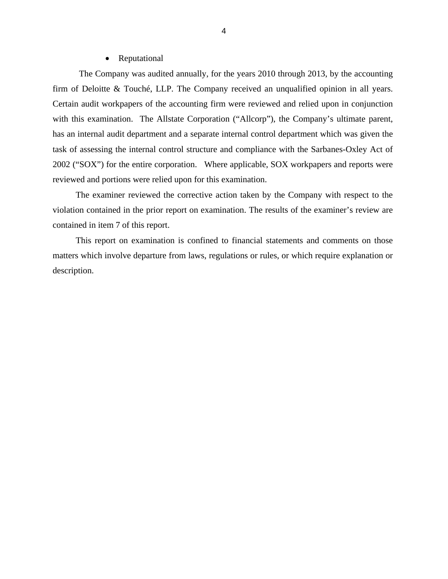#### • Reputational

The Company was audited annually, for the years 2010 through 2013, by the accounting firm of Deloitte & Touché, LLP. The Company received an unqualified opinion in all years. Certain audit workpapers of the accounting firm were reviewed and relied upon in conjunction with this examination. The Allstate Corporation ("Allcorp"), the Company's ultimate parent, has an internal audit department and a separate internal control department which was given the task of assessing the internal control structure and compliance with the Sarbanes-Oxley Act of 2002 ("SOX") for the entire corporation. Where applicable, SOX workpapers and reports were reviewed and portions were relied upon for this examination.

The examiner reviewed the corrective action taken by the Company with respect to the violation contained in the prior report on examination. The results of the examiner's review are contained in item 7 of this report.

This report on examination is confined to financial statements and comments on those matters which involve departure from laws, regulations or rules, or which require explanation or description.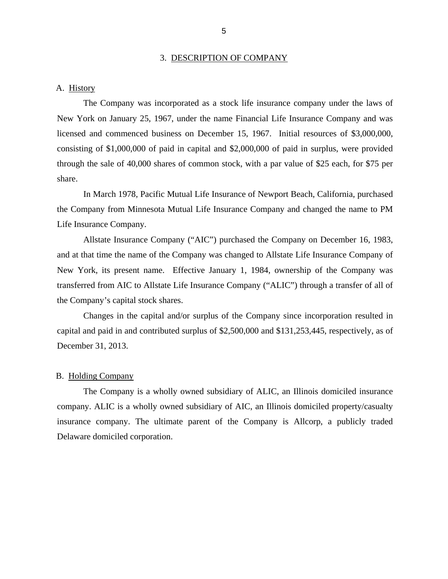#### 3. DESCRIPTION OF COMPANY

## <span id="page-7-0"></span>A. History

The Company was incorporated as a stock life insurance company under the laws of New York on January 25, 1967, under the name Financial Life Insurance Company and was licensed and commenced business on December 15, 1967. Initial resources of \$3,000,000, consisting of \$1,000,000 of paid in capital and \$2,000,000 of paid in surplus, were provided through the sale of 40,000 shares of common stock, with a par value of \$25 each, for \$75 per share.

In March 1978, Pacific Mutual Life Insurance of Newport Beach, California, purchased the Company from Minnesota Mutual Life Insurance Company and changed the name to PM Life Insurance Company.

Allstate Insurance Company ("AIC") purchased the Company on December 16, 1983, and at that time the name of the Company was changed to Allstate Life Insurance Company of New York, its present name. Effective January 1, 1984, ownership of the Company was transferred from AIC to Allstate Life Insurance Company ("ALIC") through a transfer of all of the Company's capital stock shares.

Changes in the capital and/or surplus of the Company since incorporation resulted in capital and paid in and contributed surplus of \$2,500,000 and \$131,253,445, respectively, as of December 31, 2013.

### B. Holding Company

The Company is a wholly owned subsidiary of ALIC, an Illinois domiciled insurance company. ALIC is a wholly owned subsidiary of AIC, an Illinois domiciled property/casualty insurance company. The ultimate parent of the Company is Allcorp, a publicly traded Delaware domiciled corporation.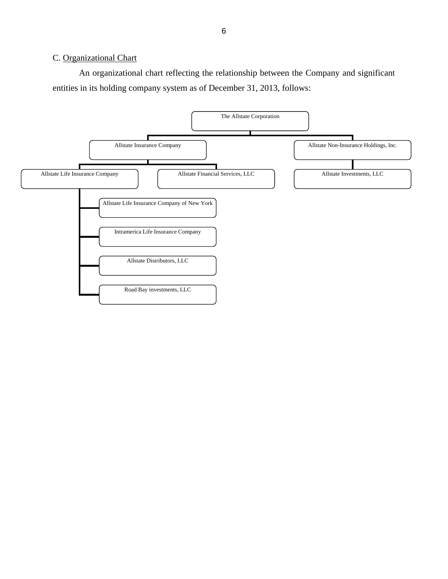## <span id="page-8-0"></span>C. Organizational Chart

An organizational chart reflecting the relationship between the Company and significant entities in its holding company system as of December 31, 2013, follows:

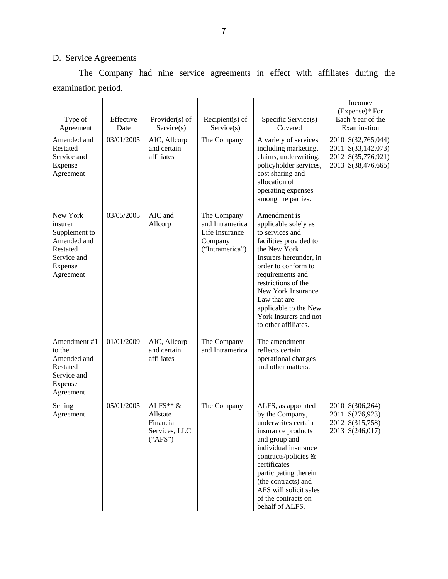# D. Service Agreements

The Company had nine service agreements in effect with affiliates during the examination period.

|                                                                                                        |                   |                                                                 |                                                                                |                                                                                                                                                                                                                                                                                                               | Income/                                                                                  |
|--------------------------------------------------------------------------------------------------------|-------------------|-----------------------------------------------------------------|--------------------------------------------------------------------------------|---------------------------------------------------------------------------------------------------------------------------------------------------------------------------------------------------------------------------------------------------------------------------------------------------------------|------------------------------------------------------------------------------------------|
| Type of<br>Agreement                                                                                   | Effective<br>Date | Provider $(s)$ of<br>Service(s)                                 | Recipient $(s)$ of<br>Service(s)                                               | Specific Service(s)<br>Covered                                                                                                                                                                                                                                                                                | $(Express)*$ For<br>Each Year of the<br>Examination                                      |
| Amended and<br>Restated<br>Service and<br>Expense<br>Agreement                                         | 03/01/2005        | AIC, Allcorp<br>and certain<br>affiliates                       | The Company                                                                    | A variety of services<br>including marketing,<br>claims, underwriting,<br>policyholder services,<br>cost sharing and<br>allocation of<br>operating expenses<br>among the parties.                                                                                                                             | 2010 \$(32,765,044)<br>2011 \$(33,142,073)<br>2012 \$(35,776,921)<br>2013 \$(38,476,665) |
| New York<br>insurer<br>Supplement to<br>Amended and<br>Restated<br>Service and<br>Expense<br>Agreement | 03/05/2005        | AIC and<br>Allcorp                                              | The Company<br>and Intramerica<br>Life Insurance<br>Company<br>("Intramerica") | Amendment is<br>applicable solely as<br>to services and<br>facilities provided to<br>the New York<br>Insurers hereunder, in<br>order to conform to<br>requirements and<br>restrictions of the<br>New York Insurance<br>Law that are<br>applicable to the New<br>York Insurers and not<br>to other affiliates. |                                                                                          |
| Amendment #1<br>to the<br>Amended and<br>Restated<br>Service and<br>Expense<br>Agreement               | 01/01/2009        | AIC, Allcorp<br>and certain<br>affiliates                       | The Company<br>and Intramerica                                                 | The amendment<br>reflects certain<br>operational changes<br>and other matters.                                                                                                                                                                                                                                |                                                                                          |
| Selling<br>Agreement                                                                                   | 05/01/2005        | ALFS** $&$<br>Allstate<br>Financial<br>Services, LLC<br>("APS") | The Company                                                                    | ALFS, as appointed<br>by the Company,<br>underwrites certain<br>insurance products<br>and group and<br>individual insurance<br>contracts/policies &<br>certificates<br>participating therein<br>(the contracts) and<br>AFS will solicit sales<br>of the contracts on<br>behalf of ALFS.                       | 2010 \$(306,264)<br>2011 \$(276,923)<br>2012 \$(315,758)<br>2013 \$(246,017)             |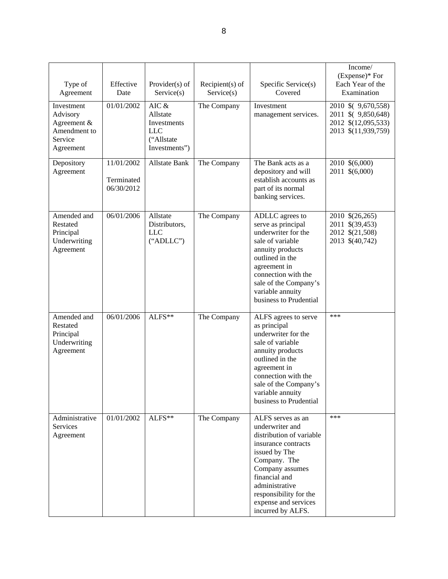| Type of<br>Agreement                                                          | Effective<br>Date                      | Provider $(s)$ of<br>Service(s)                                                  | $Recipient(s)$ of<br>Service(s) | Specific Service(s)<br>Covered                                                                                                                                                                                                                        | Income/<br>(Expense)* For<br>Each Year of the<br>Examination                             |
|-------------------------------------------------------------------------------|----------------------------------------|----------------------------------------------------------------------------------|---------------------------------|-------------------------------------------------------------------------------------------------------------------------------------------------------------------------------------------------------------------------------------------------------|------------------------------------------------------------------------------------------|
| Investment<br>Advisory<br>Agreement &<br>Amendment to<br>Service<br>Agreement | 01/01/2002                             | AIC $\&$<br>Allstate<br>Investments<br><b>LLC</b><br>("Allstate<br>Investments") | The Company                     | Investment<br>management services.                                                                                                                                                                                                                    | 2010 \$ (9,670,558)<br>2011 \$ (9,850,648)<br>2012 \$(12,095,533)<br>2013 \$(11,939,759) |
| Depository<br>Agreement                                                       | 11/01/2002<br>Terminated<br>06/30/2012 | <b>Allstate Bank</b>                                                             | The Company                     | The Bank acts as a<br>depository and will<br>establish accounts as<br>part of its normal<br>banking services.                                                                                                                                         | 2010 \$(6,000)<br>2011 \$(6,000)                                                         |
| Amended and<br>Restated<br>Principal<br>Underwriting<br>Agreement             | 06/01/2006                             | Allstate<br>Distributors,<br><b>LLC</b><br>("ADLLC")                             | The Company                     | ADLLC agrees to<br>serve as principal<br>underwriter for the<br>sale of variable<br>annuity products<br>outlined in the<br>agreement in<br>connection with the<br>sale of the Company's<br>variable annuity<br>business to Prudential                 | 2010 \$(26,265)<br>2011 \$(39,453)<br>2012 \$(21,508)<br>2013 \$(40,742)                 |
| Amended and<br>Restated<br>Principal<br>Underwriting<br>Agreement             | 06/01/2006                             | $ALFS**$                                                                         | The Company                     | ALFS agrees to serve<br>as principal<br>underwriter for the<br>sale of variable<br>annuity products<br>outlined in the<br>agreement in<br>connection with the<br>sale of the Company's<br>variable annuity<br>business to Prudential                  | ***                                                                                      |
| Administrative<br><b>Services</b><br>Agreement                                | 01/01/2002                             | ALFS**                                                                           | The Company                     | ALFS serves as an<br>underwriter and<br>distribution of variable<br>insurance contracts<br>issued by The<br>Company. The<br>Company assumes<br>financial and<br>administrative<br>responsibility for the<br>expense and services<br>incurred by ALFS. | ***                                                                                      |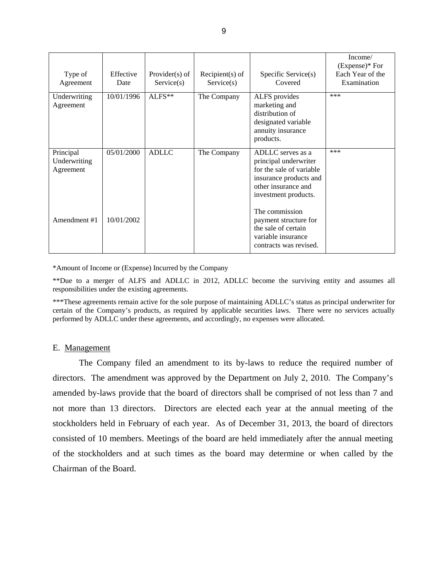| Type of<br>Agreement                   | Effective<br>Date | Provider $(s)$ of<br>Service(s) | $Recipient(s)$ of<br>Service(s) | Specific Service(s)<br>Covered                                                                                                                  | Income/<br>$(Express)*For$<br>Each Year of the<br>Examination |
|----------------------------------------|-------------------|---------------------------------|---------------------------------|-------------------------------------------------------------------------------------------------------------------------------------------------|---------------------------------------------------------------|
| Underwriting<br>Agreement              | 10/01/1996        | ALFS**                          | The Company                     | ALFS provides<br>marketing and<br>distribution of<br>designated variable<br>annuity insurance<br>products.                                      | ***                                                           |
| Principal<br>Underwriting<br>Agreement | 05/01/2000        | <b>ADLLC</b>                    | The Company                     | ADLLC serves as a<br>principal underwriter<br>for the sale of variable<br>insurance products and<br>other insurance and<br>investment products. | ***                                                           |
| Amendment #1                           | 10/01/2002        |                                 |                                 | The commission<br>payment structure for<br>the sale of certain<br>variable insurance<br>contracts was revised.                                  |                                                               |

\*Amount of Income or (Expense) Incurred by the Company

\*\*Due to a merger of ALFS and ADLLC in 2012, ADLLC become the surviving entity and assumes all responsibilities under the existing agreements.

 performed by ADLLC under these agreements, and accordingly, no expenses were allocated. \*\*\*These agreements remain active for the sole purpose of maintaining ADLLC's status as principal underwriter for certain of the Company's products, as required by applicable securities laws. There were no services actually

### E. Management

 Chairman of the Board. The Company filed an amendment to its by-laws to reduce the required number of directors. The amendment was approved by the Department on July 2, 2010. The Company's amended by-laws provide that the board of directors shall be comprised of not less than 7 and not more than 13 directors. Directors are elected each year at the annual meeting of the stockholders held in February of each year. As of December 31, 2013, the board of directors consisted of 10 members. Meetings of the board are held immediately after the annual meeting of the stockholders and at such times as the board may determine or when called by the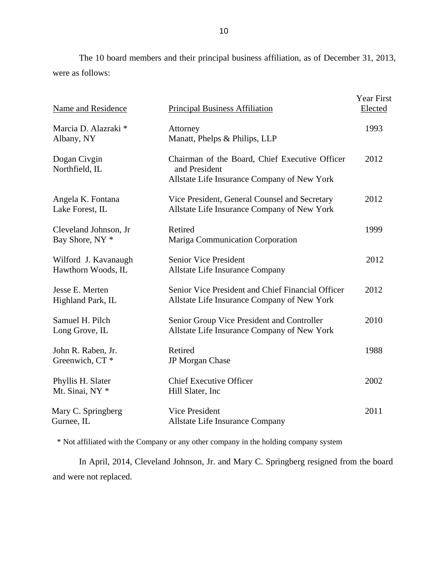<span id="page-12-0"></span>The 10 board members and their principal business affiliation, as of December 31, 2013, were as follows:

| <b>Name and Residence</b>                           | <b>Principal Business Affiliation</b>                                                                          | Year First<br>Elected |
|-----------------------------------------------------|----------------------------------------------------------------------------------------------------------------|-----------------------|
| Marcia D. Alazraki *<br>Albany, NY                  | Attorney<br>Manatt, Phelps & Philips, LLP                                                                      | 1993                  |
| Dogan Civgin<br>Northfield, IL                      | Chairman of the Board, Chief Executive Officer<br>and President<br>Allstate Life Insurance Company of New York | 2012                  |
| Angela K. Fontana<br>Lake Forest, IL                | Vice President, General Counsel and Secretary<br>Allstate Life Insurance Company of New York                   | 2012                  |
| Cleveland Johnson, Jr<br>Bay Shore, NY <sup>*</sup> | Retired<br>Mariga Communication Corporation                                                                    | 1999                  |
| Wilford J. Kavanaugh<br>Hawthorn Woods, IL          | <b>Senior Vice President</b><br>Allstate Life Insurance Company                                                | 2012                  |
| Jesse E. Merten<br>Highland Park, IL                | Senior Vice President and Chief Financial Officer<br>Allstate Life Insurance Company of New York               | 2012                  |
| Samuel H. Pilch<br>Long Grove, IL                   | Senior Group Vice President and Controller<br>Allstate Life Insurance Company of New York                      | 2010                  |
| John R. Raben, Jr.<br>Greenwich, CT <sup>*</sup>    | Retired<br>JP Morgan Chase                                                                                     | 1988                  |
| Phyllis H. Slater<br>Mt. Sinai, NY *                | <b>Chief Executive Officer</b><br>Hill Slater, Inc.                                                            | 2002                  |
| Mary C. Springberg<br>Gurnee, IL                    | <b>Vice President</b><br><b>Allstate Life Insurance Company</b>                                                | 2011                  |

\* Not affiliated with the Company or any other company in the holding company system

In April, 2014, Cleveland Johnson, Jr. and Mary C. Springberg resigned from the board and were not replaced.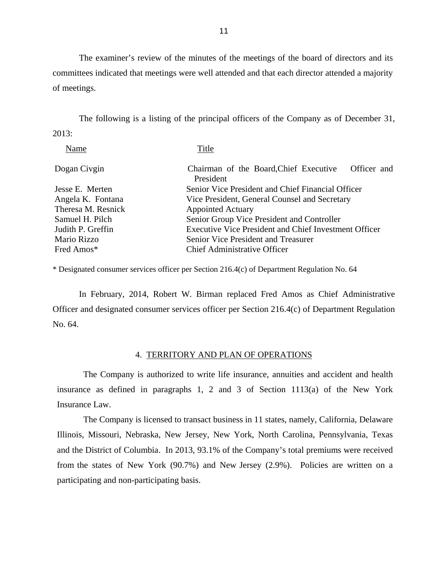The examiner's review of the minutes of the meetings of the board of directors and its committees indicated that meetings were well attended and that each director attended a majority of meetings.

The following is a listing of the principal officers of the Company as of December 31, 2013:

| Name               | Title                                                              |  |  |  |
|--------------------|--------------------------------------------------------------------|--|--|--|
| Dogan Civgin       | Chairman of the Board, Chief Executive<br>Officer and<br>President |  |  |  |
| Jesse E. Merten    | Senior Vice President and Chief Financial Officer                  |  |  |  |
| Angela K. Fontana  | Vice President, General Counsel and Secretary                      |  |  |  |
| Theresa M. Resnick | <b>Appointed Actuary</b>                                           |  |  |  |
| Samuel H. Pilch    | Senior Group Vice President and Controller                         |  |  |  |
| Judith P. Greffin  | <b>Executive Vice President and Chief Investment Officer</b>       |  |  |  |
| Mario Rizzo        | Senior Vice President and Treasurer                                |  |  |  |
| Fred Amos*         | <b>Chief Administrative Officer</b>                                |  |  |  |
|                    |                                                                    |  |  |  |

\* Designated consumer services officer per Section 216.4(c) of Department Regulation No. 64

In February, 2014, Robert W. Birman replaced Fred Amos as Chief Administrative Officer and designated consumer services officer per Section 216.4(c) of Department Regulation No. 64.

#### 4. TERRITORY AND PLAN OF OPERATIONS

The Company is authorized to write life insurance, annuities and accident and health insurance as defined in paragraphs 1, 2 and 3 of Section 1113(a) of the New York Insurance Law.

The Company is licensed to transact business in 11 states, namely, California, Delaware Illinois, Missouri, Nebraska, New Jersey, New York, North Carolina, Pennsylvania, Texas and the District of Columbia. In 2013, 93.1% of the Company's total premiums were received from the states of New York (90.7%) and New Jersey (2.9%). Policies are written on a participating and non-participating basis.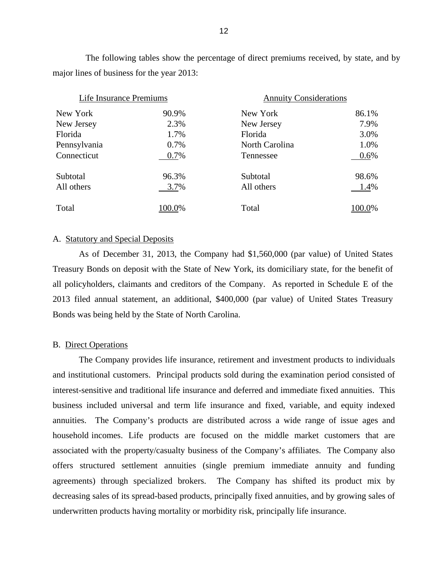The following tables show the percentage of direct premiums received, by state, and by major lines of business for the year 2013:

| Life Insurance Premiums |        | <b>Annuity Considerations</b> |        |  |
|-------------------------|--------|-------------------------------|--------|--|
| New York                | 90.9%  | New York                      | 86.1%  |  |
| New Jersey              | 2.3%   | New Jersey                    | 7.9%   |  |
| Florida                 | 1.7%   | Florida                       | 3.0%   |  |
| Pennsylvania            | 0.7%   | North Carolina                | 1.0%   |  |
| Connecticut             | 0.7%   | Tennessee                     | 0.6%   |  |
| Subtotal                | 96.3%  | Subtotal                      | 98.6%  |  |
| All others              | 3.7%   | All others                    | 1.4%   |  |
| Total                   | 100.0% | Total                         | 100.0% |  |

## A. Statutory and Special Deposits

As of December 31, 2013, the Company had \$1,560,000 (par value) of United States Treasury Bonds on deposit with the State of New York, its domiciliary state, for the benefit of all policyholders, claimants and creditors of the Company. As reported in Schedule E of the 2013 filed annual statement, an additional, \$400,000 (par value) of United States Treasury Bonds was being held by the State of North Carolina.

## B. Direct Operations

The Company provides life insurance, retirement and investment products to individuals and institutional customers. Principal products sold during the examination period consisted of interest-sensitive and traditional life insurance and deferred and immediate fixed annuities. This business included universal and term life insurance and fixed, variable, and equity indexed annuities. The Company's products are distributed across a wide range of issue ages and household incomes. Life products are focused on the middle market customers that are associated with the property/casualty business of the Company's affiliates. The Company also offers structured settlement annuities (single premium immediate annuity and funding agreements) through specialized brokers. The Company has shifted its product mix by decreasing sales of its spread-based products, principally fixed annuities, and by growing sales of underwritten products having mortality or morbidity risk, principally life insurance.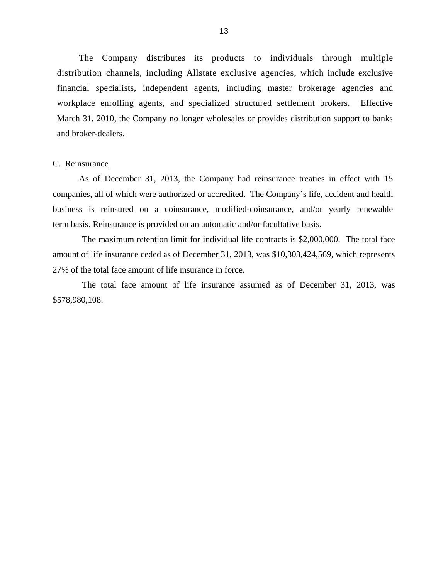<span id="page-15-0"></span> The Company distributes its products to individuals through multiple distribution channels, including Allstate exclusive agencies, which include exclusive financial specialists, independent agents, including master brokerage agencies and workplace enrolling agents, and specialized structured settlement brokers. Effective March 31, 2010, the Company no longer wholesales or provides distribution support to banks and broker-dealers.

#### C. Reinsurance

As of December 31, 2013, the Company had reinsurance treaties in effect with 15 companies, all of which were authorized or accredited. The Company's life, accident and health business is reinsured on a coinsurance, modified-coinsurance, and/or yearly renewable term basis. Reinsurance is provided on an automatic and/or facultative basis.

The maximum retention limit for individual life contracts is \$2,000,000. The total face amount of life insurance ceded as of December 31, 2013, was \$10,303,424,569, which represents 27% of the total face amount of life insurance in force.

 The total face amount of life insurance assumed as of December 31, 2013, was \$578,980,108.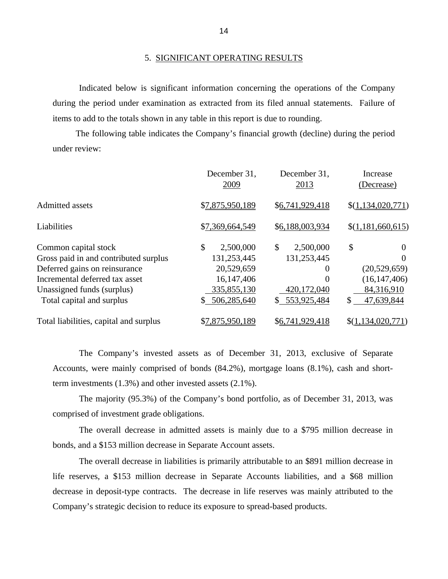#### 5. SIGNIFICANT OPERATING RESULTS

Indicated below is significant information concerning the operations of the Company during the period under examination as extracted from its filed annual statements. Failure of items to add to the totals shown in any table in this report is due to rounding.

The following table indicates the Company's financial growth (decline) during the period under review:

|                                        | December 31,<br>2009 | December 31,<br>2013 | Increase<br>(Decrease) |
|----------------------------------------|----------------------|----------------------|------------------------|
| <b>Admitted assets</b>                 | \$7,875,950,189      | \$6,741,929,418      | \$(1,134,020,771)      |
| Liabilities                            | \$7,369,664,549      | \$6,188,003,934      | \$(1,181,660,615)      |
| Common capital stock                   | \$<br>2,500,000      | \$<br>2,500,000      | \$<br>$\Omega$         |
| Gross paid in and contributed surplus  | 131,253,445          | 131,253,445          | 0                      |
| Deferred gains on reinsurance          | 20,529,659           | $\theta$             | (20,529,659)           |
| Incremental deferred tax asset         | 16,147,406           | $\Omega$             | (16, 147, 406)         |
| Unassigned funds (surplus)             | 335,855,130          | 420,172,040          | 84,316,910             |
| Total capital and surplus              | \$506,285,640        | 553,925,484<br>S.    | 47,639,844<br>\$       |
| Total liabilities, capital and surplus | \$7,875,950,189      | \$6,741,929,418      | \$(1,134,020,771)      |

The Company's invested assets as of December 31, 2013, exclusive of Separate Accounts, were mainly comprised of bonds (84.2%), mortgage loans (8.1%), cash and shortterm investments (1.3%) and other invested assets (2.1%).

The majority (95.3%) of the Company's bond portfolio, as of December 31, 2013, was comprised of investment grade obligations.

The overall decrease in admitted assets is mainly due to a \$795 million decrease in bonds, and a \$153 million decrease in Separate Account assets.

The overall decrease in liabilities is primarily attributable to an \$891 million decrease in life reserves, a \$153 million decrease in Separate Accounts liabilities, and a \$68 million decrease in deposit-type contracts. The decrease in life reserves was mainly attributed to the Company's strategic decision to reduce its exposure to spread-based products.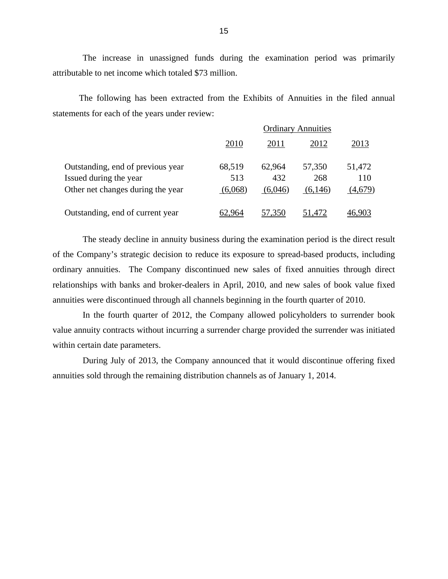The increase in unassigned funds during the examination period was primarily attributable to net income which totaled \$73 million.

The following has been extracted from the Exhibits of Annuities in the filed annual statements for each of the years under review:

|                                   | <b>Ordinary Annuities</b> |         |         |         |
|-----------------------------------|---------------------------|---------|---------|---------|
|                                   | 2010                      | 2011    | 2012    | 2013    |
| Outstanding, end of previous year | 68,519                    | 62,964  | 57,350  | 51,472  |
| Issued during the year            | 513                       | 432     | 268     | 110     |
| Other net changes during the year | (6,068)                   | (6,046) | (6,146) | (4,679) |
| Outstanding, end of current year  | 62.964                    | 57.350  | 51,472  |         |

The steady decline in annuity business during the examination period is the direct result of the Company's strategic decision to reduce its exposure to spread-based products, including ordinary annuities. The Company discontinued new sales of fixed annuities through direct relationships with banks and broker-dealers in April, 2010, and new sales of book value fixed annuities were discontinued through all channels beginning in the fourth quarter of 2010.

In the fourth quarter of 2012, the Company allowed policyholders to surrender book value annuity contracts without incurring a surrender charge provided the surrender was initiated within certain date parameters.

During July of 2013, the Company announced that it would discontinue offering fixed annuities sold through the remaining distribution channels as of January 1, 2014.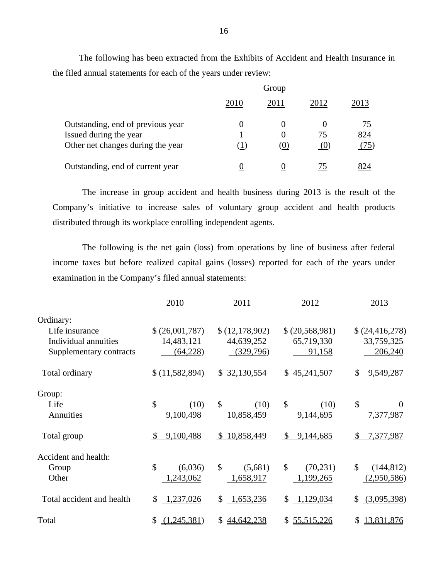The following has been extracted from the Exhibits of Accident and Health Insurance in the filed annual statements for each of the years under review:

|                                                                                                  | Group    |                             |           |                   |  |
|--------------------------------------------------------------------------------------------------|----------|-----------------------------|-----------|-------------------|--|
|                                                                                                  | 2010     | 2011                        | 2012      | 2013              |  |
| Outstanding, end of previous year<br>Issued during the year<br>Other net changes during the year | $\theta$ | $\theta$<br>$\Omega$<br>(U) | 75<br>(0) | 75<br>824<br>(75) |  |
| Outstanding, end of current year                                                                 | 0        | O                           | 75        |                   |  |

The increase in group accident and health business during 2013 is the result of the Company's initiative to increase sales of voluntary group accident and health products distributed through its workplace enrolling independent agents.

The following is the net gain (loss) from operations by line of business after federal income taxes but before realized capital gains (losses) reported for each of the years under examination in the Company's filed annual statements:

|                           | 2010                      | 2011                        | 2012                                   | 2013                      |
|---------------------------|---------------------------|-----------------------------|----------------------------------------|---------------------------|
| Ordinary:                 |                           |                             |                                        |                           |
| Life insurance            | \$(26,001,787)            | \$(12,178,902)              | \$ (20, 568, 981)                      | \$ (24, 416, 278)         |
| Individual annuities      | 14,483,121                | 44,639,252                  | 65,719,330                             | 33,759,325                |
| Supplementary contracts   | (64,228)                  | (329,796)                   | 91,158                                 | 206,240                   |
| Total ordinary            | \$(11, 582, 894)          | 32,130,554<br>\$            | 45,241,507<br>\$                       | \$<br>9,549,287           |
| Group:                    |                           |                             |                                        |                           |
| Life                      | $\mathcal{S}$<br>(10)     | $\mathcal{S}$<br>(10)       | \$<br>(10)                             | $\mathcal{S}$<br>$\Omega$ |
| Annuities                 | 9,100,498                 | 10,858,459                  | 9,144,695                              | 7,377,987                 |
| Total group               | 9,100,488<br>$\mathbb{S}$ | 10,858,449<br>$\mathcal{S}$ | $\boldsymbol{\mathsf{S}}$<br>9,144,685 | 7,377,987<br>$\mathbb{S}$ |
| Accident and health:      |                           |                             |                                        |                           |
| Group                     | \$<br>(6,036)             | $\mathcal{S}$<br>(5,681)    | \$<br>(70, 231)                        | \$<br>(144, 812)          |
| Other                     | 1,243,062                 | 1,658,917                   | 1,199,265                              | (2,950,586)               |
| Total accident and health | 1,237,026<br>\$           | 1,653,236<br>\$             | 1,129,034<br>\$                        | (3,095,398)<br>\$         |
| Total                     | (1,245,381)<br>\$         | 44,642,238<br>S.            | \$55,515,226                           | 13,831,876<br>\$          |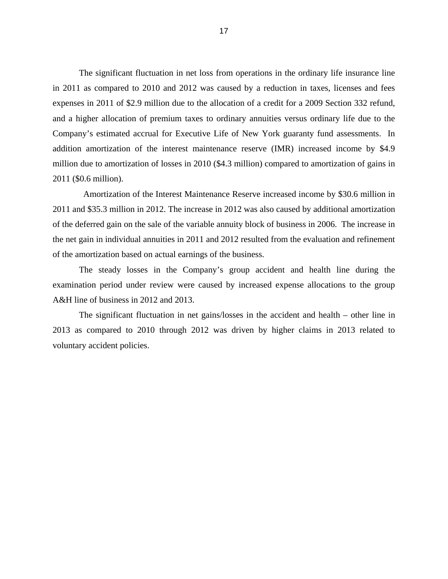The significant fluctuation in net loss from operations in the ordinary life insurance line in 2011 as compared to 2010 and 2012 was caused by a reduction in taxes, licenses and fees expenses in 2011 of \$2.9 million due to the allocation of a credit for a 2009 Section 332 refund, and a higher allocation of premium taxes to ordinary annuities versus ordinary life due to the Company's estimated accrual for Executive Life of New York guaranty fund assessments. In addition amortization of the interest maintenance reserve (IMR) increased income by \$4.9 million due to amortization of losses in 2010 (\$4.3 million) compared to amortization of gains in 2011 (\$0.6 million).

Amortization of the Interest Maintenance Reserve increased income by \$30.6 million in 2011 and \$35.3 million in 2012. The increase in 2012 was also caused by additional amortization of the deferred gain on the sale of the variable annuity block of business in 2006. The increase in the net gain in individual annuities in 2011 and 2012 resulted from the evaluation and refinement of the amortization based on actual earnings of the business.

The steady losses in the Company's group accident and health line during the examination period under review were caused by increased expense allocations to the group A&H line of business in 2012 and 2013.

The significant fluctuation in net gains/losses in the accident and health – other line in 2013 as compared to 2010 through 2012 was driven by higher claims in 2013 related to voluntary accident policies.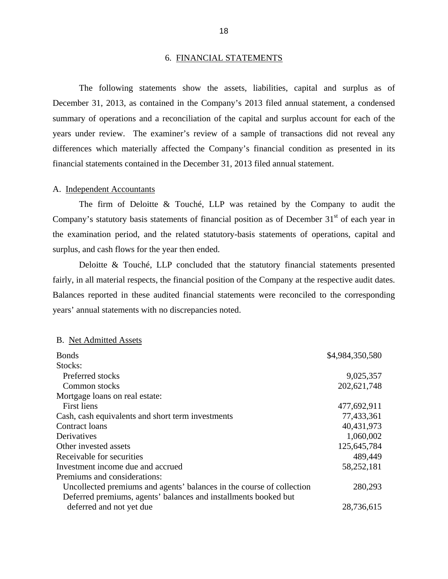#### 6. FINANCIAL STATEMENTS

<span id="page-20-0"></span>The following statements show the assets, liabilities, capital and surplus as of December 31, 2013, as contained in the Company's 2013 filed annual statement, a condensed summary of operations and a reconciliation of the capital and surplus account for each of the years under review. The examiner's review of a sample of transactions did not reveal any differences which materially affected the Company's financial condition as presented in its financial statements contained in the December 31, 2013 filed annual statement.

#### A. Independent Accountants

The firm of Deloitte & Touché, LLP was retained by the Company to audit the Company's statutory basis statements of financial position as of December  $31<sup>st</sup>$  of each year in the examination period, and the related statutory-basis statements of operations, capital and surplus, and cash flows for the year then ended.

fairly, in all material respects, the financial position of the Company at the respective audit dates. Deloitte & Touché, LLP concluded that the statutory financial statements presented Balances reported in these audited financial statements were reconciled to the corresponding years' annual statements with no discrepancies noted.

#### B. Net Admitted Assets

| <b>Bonds</b>                                                          | \$4,984,350,580 |
|-----------------------------------------------------------------------|-----------------|
| Stocks:                                                               |                 |
| Preferred stocks                                                      | 9,025,357       |
| Common stocks                                                         | 202, 621, 748   |
| Mortgage loans on real estate:                                        |                 |
| <b>First liens</b>                                                    | 477,692,911     |
| Cash, cash equivalents and short term investments                     | 77,433,361      |
| Contract loans                                                        | 40,431,973      |
| Derivatives                                                           | 1,060,002       |
| Other invested assets                                                 | 125,645,784     |
| Receivable for securities                                             | 489,449         |
| Investment income due and accrued                                     | 58,252,181      |
| Premiums and considerations:                                          |                 |
| Uncollected premiums and agents' balances in the course of collection | 280,293         |
| Deferred premiums, agents' balances and installments booked but       |                 |
| deferred and not yet due                                              | 28,736,615      |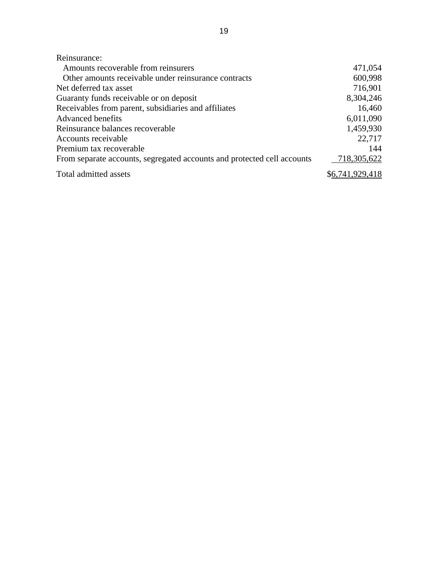| Reinsurance:                                                            |                 |
|-------------------------------------------------------------------------|-----------------|
| Amounts recoverable from reinsurers                                     | 471,054         |
| Other amounts receivable under reinsurance contracts                    | 600,998         |
| Net deferred tax asset                                                  | 716,901         |
| Guaranty funds receivable or on deposit                                 | 8,304,246       |
| Receivables from parent, subsidiaries and affiliates                    | 16,460          |
| <b>Advanced benefits</b>                                                | 6,011,090       |
| Reinsurance balances recoverable                                        | 1,459,930       |
| Accounts receivable                                                     | 22,717          |
| Premium tax recoverable                                                 | 144             |
| From separate accounts, segregated accounts and protected cell accounts | 718,305,622     |
| Total admitted assets                                                   | \$6,741,929,418 |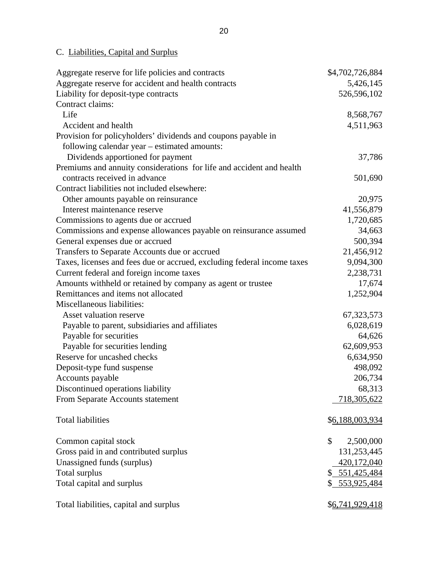# C. Liabilities, Capital and Surplus

| Aggregate reserve for life policies and contracts                       | \$4,702,726,884   |
|-------------------------------------------------------------------------|-------------------|
| Aggregate reserve for accident and health contracts                     | 5,426,145         |
| Liability for deposit-type contracts                                    | 526,596,102       |
| Contract claims:                                                        |                   |
| Life                                                                    | 8,568,767         |
| Accident and health                                                     | 4,511,963         |
| Provision for policyholders' dividends and coupons payable in           |                   |
| following calendar year – estimated amounts:                            |                   |
| Dividends apportioned for payment                                       | 37,786            |
| Premiums and annuity considerations for life and accident and health    |                   |
| contracts received in advance                                           | 501,690           |
| Contract liabilities not included elsewhere:                            |                   |
| Other amounts payable on reinsurance                                    | 20,975            |
| Interest maintenance reserve                                            | 41,556,879        |
| Commissions to agents due or accrued                                    | 1,720,685         |
| Commissions and expense allowances payable on reinsurance assumed       | 34,663            |
| General expenses due or accrued                                         | 500,394           |
| Transfers to Separate Accounts due or accrued                           | 21,456,912        |
| Taxes, licenses and fees due or accrued, excluding federal income taxes | 9,094,300         |
| Current federal and foreign income taxes                                | 2,238,731         |
| Amounts withheld or retained by company as agent or trustee             | 17,674            |
| Remittances and items not allocated                                     | 1,252,904         |
| Miscellaneous liabilities:                                              |                   |
| Asset valuation reserve                                                 | 67, 323, 573      |
| Payable to parent, subsidiaries and affiliates                          | 6,028,619         |
| Payable for securities                                                  | 64,626            |
| Payable for securities lending                                          | 62,609,953        |
| Reserve for uncashed checks                                             | 6,634,950         |
| Deposit-type fund suspense                                              | 498,092           |
| Accounts payable                                                        | 206,734           |
| Discontinued operations liability                                       | 68,313            |
| From Separate Accounts statement                                        | 718,305,622       |
|                                                                         |                   |
| <b>Total liabilities</b>                                                | \$6,188,003,934   |
|                                                                         |                   |
| Common capital stock                                                    | \$<br>2,500,000   |
| Gross paid in and contributed surplus                                   | 131,253,445       |
| Unassigned funds (surplus)                                              | 420,172,040       |
| Total surplus                                                           | \$<br>551,425,484 |
| Total capital and surplus                                               | \$ 553,925,484    |
|                                                                         |                   |
| Total liabilities, capital and surplus                                  | \$6,741,929,418   |
|                                                                         |                   |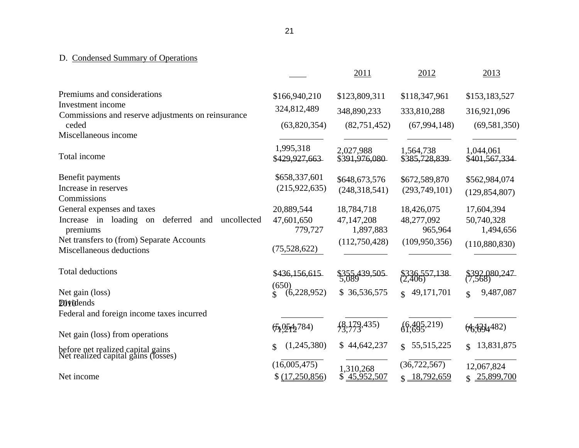# D. Condensed Summary of Operations

|                                                                          |                              | 2011                      | 2012                             | 2013                                  |
|--------------------------------------------------------------------------|------------------------------|---------------------------|----------------------------------|---------------------------------------|
| Premiums and considerations                                              | \$166,940,210                | \$123,809,311             | \$118,347,961                    | \$153,183,527                         |
| Investment income                                                        | 324,812,489                  | 348,890,233               | 333,810,288                      | 316,921,096                           |
| Commissions and reserve adjustments on reinsurance                       |                              |                           |                                  |                                       |
| ceded                                                                    | (63,820,354)                 | (82, 751, 452)            | (67, 994, 148)                   | (69, 581, 350)                        |
| Miscellaneous income                                                     |                              |                           |                                  |                                       |
|                                                                          | 1,995,318                    | 2,027,988                 | 1,564,738                        | 1,044,061                             |
| Total income                                                             | \$429,927,663                | \$391,976,080             | \$385,728,839                    | \$401,567,334                         |
| Benefit payments                                                         | \$658,337,601                | \$648,673,576             | \$672,589,870                    | \$562,984,074                         |
| Increase in reserves                                                     | (215, 922, 635)              | (248, 318, 541)           | (293,749,101)                    | (129, 854, 807)                       |
| Commissions                                                              |                              |                           |                                  |                                       |
| General expenses and taxes                                               | 20,889,544                   | 18,784,718                | 18,426,075                       | 17,604,394                            |
| deferred<br>Increase in loading on<br>uncollected<br>and<br>premiums     | 47,601,650<br>779,727        | 47,147,208<br>1,897,883   | 48,277,092<br>965,964            | 50,740,328<br>1,494,656               |
| Net transfers to (from) Separate Accounts                                |                              |                           |                                  |                                       |
| Miscellaneous deductions                                                 | (75,528,622)                 | (112,750,428)             | (109, 950, 356)                  | (110,880,830)                         |
|                                                                          |                              |                           |                                  |                                       |
| <b>Total deductions</b>                                                  | \$436,156,615                | \$355,439,505<br>5.089    | \$336,557,138<br>(2,406)         | \$392,080,247                         |
|                                                                          | (650)                        |                           |                                  |                                       |
| Net gain (loss)                                                          | (6,228,952)<br>$\mathcal{L}$ | \$36,536,575              | 49,171,701<br>$\mathbf{\hat{x}}$ | 9,487,087<br>$\mathbf{\hat{S}}$       |
| <b>Dividends</b>                                                         |                              |                           |                                  |                                       |
| Federal and foreign income taxes incurred                                |                              |                           |                                  |                                       |
|                                                                          | $\frac{656}{212}$ 784)       | $\{8,179,435\}$           | (6,405,219)                      | H <sub>3</sub> (H <sub>2</sub> )4482) |
| Net gain (loss) from operations                                          |                              |                           |                                  |                                       |
| before net realized capital gains<br>Net realized capital gains (losses) | (1,245,380)<br>\$            | \$44,642,237              | 55, 515, 225<br>$\mathcal{S}$    | 13,831,875<br>$\mathcal{S}$           |
|                                                                          | (16,005,475)                 |                           | (36, 722, 567)                   | 12,067,824                            |
| Net income                                                               | \$ (17,250,856)              | 1,310,268<br>\$45,952,507 | $$ \frac{18,792,659}{ }$         | 25,899,700<br>$\mathbb{S}$            |
|                                                                          |                              |                           |                                  |                                       |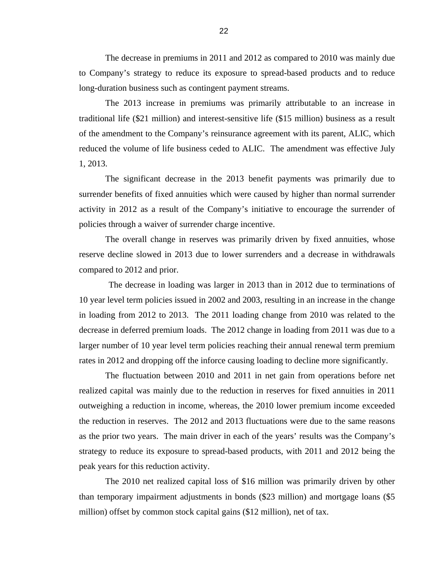The decrease in premiums in 2011 and 2012 as compared to 2010 was mainly due to Company's strategy to reduce its exposure to spread-based products and to reduce long-duration business such as contingent payment streams.

The 2013 increase in premiums was primarily attributable to an increase in traditional life (\$21 million) and interest-sensitive life (\$15 million) business as a result of the amendment to the Company's reinsurance agreement with its parent, ALIC, which reduced the volume of life business ceded to ALIC. The amendment was effective July 1, 2013.

The significant decrease in the 2013 benefit payments was primarily due to surrender benefits of fixed annuities which were caused by higher than normal surrender activity in 2012 as a result of the Company's initiative to encourage the surrender of policies through a waiver of surrender charge incentive.

The overall change in reserves was primarily driven by fixed annuities, whose reserve decline slowed in 2013 due to lower surrenders and a decrease in withdrawals compared to 2012 and prior.

The decrease in loading was larger in 2013 than in 2012 due to terminations of 10 year level term policies issued in 2002 and 2003, resulting in an increase in the change in loading from 2012 to 2013. The 2011 loading change from 2010 was related to the decrease in deferred premium loads. The 2012 change in loading from 2011 was due to a larger number of 10 year level term policies reaching their annual renewal term premium rates in 2012 and dropping off the inforce causing loading to decline more significantly.

peak years for this reduction activity. The fluctuation between 2010 and 2011 in net gain from operations before net realized capital was mainly due to the reduction in reserves for fixed annuities in 2011 outweighing a reduction in income, whereas, the 2010 lower premium income exceeded the reduction in reserves. The 2012 and 2013 fluctuations were due to the same reasons as the prior two years. The main driver in each of the years' results was the Company's strategy to reduce its exposure to spread-based products, with 2011 and 2012 being the

The 2010 net realized capital loss of \$16 million was primarily driven by other than temporary impairment adjustments in bonds (\$23 million) and mortgage loans (\$5 million) offset by common stock capital gains (\$12 million), net of tax.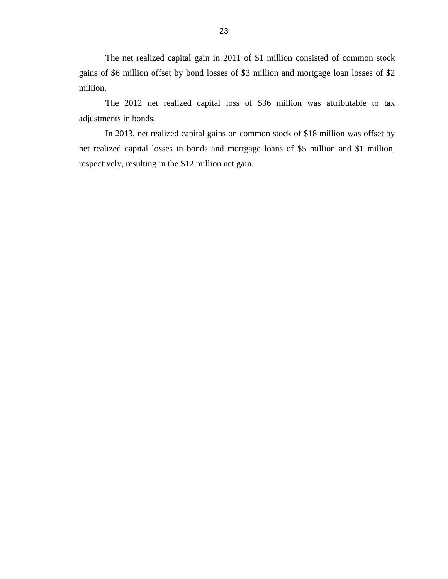The net realized capital gain in 2011 of \$1 million consisted of common stock gains of \$6 million offset by bond losses of \$3 million and mortgage loan losses of \$2 million.

The 2012 net realized capital loss of \$36 million was attributable to tax adjustments in bonds.

In 2013, net realized capital gains on common stock of \$18 million was offset by net realized capital losses in bonds and mortgage loans of \$5 million and \$1 million, respectively, resulting in the \$12 million net gain.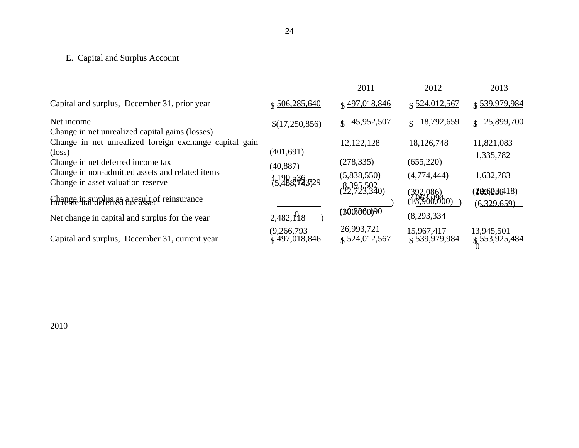# <span id="page-26-0"></span>E. Capital and Surplus Account

|                                                                                      |                                      | 2011                        | 2012                             | 2013                                 |
|--------------------------------------------------------------------------------------|--------------------------------------|-----------------------------|----------------------------------|--------------------------------------|
| Capital and surplus, December 31, prior year                                         | \$506,285,640                        | \$497,018,846               | $$ \frac{524,012,567}{ }$        | \$539,979,984                        |
| Net income<br>Change in net unrealized capital gains (losses)                        | \$(17,250,856)                       | 45,952,507<br>$\mathbf{S}$  | 18,792,659<br>$\mathbf{\hat{S}}$ | \$25,899,700                         |
| Change in net unrealized foreign exchange capital gain<br>$(\text{loss})$            | (401, 691)                           | 12, 122, 128                | 18,126,748                       | 11,821,083                           |
| Change in net deferred income tax                                                    | (40, 887)                            | (278, 335)                  | (655, 220)                       | 1,335,782                            |
| Change in non-admitted assets and related items<br>Change in asset valuation reserve | 3,190,536,3729                       | (5,838,550)                 | (4,774,444)                      | 1,632,783                            |
| Change in surplus as a result of reinsurance<br>frictemental deferred tax asset      |                                      | 8,395,502<br>(22,723,340)   | $(392,086)$<br>(13,900,000)      | ( <b>1896</b> 230418)<br>(6,329,659) |
| Net change in capital and surplus for the year                                       | $2,482,\frac{\text{A}}{\text{B}}8$   | (300,000)90                 | (8,293,334)                      |                                      |
| Capital and surplus, December 31, current year                                       | (9,266,793)<br>$\hat{Q}$ 497,018,846 | 26,993,721<br>\$524,012,567 | 15,967,417<br>\$539,979,984      | 13,945,501<br>\$553,925,484          |

2010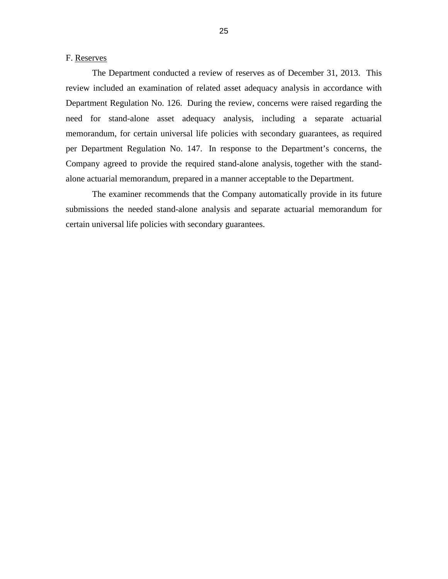<span id="page-27-0"></span>F. Reserves

The Department conducted a review of reserves as of December 31, 2013. This review included an examination of related asset adequacy analysis in accordance with Department Regulation No. 126. During the review, concerns were raised regarding the need for stand-alone asset adequacy analysis, including a separate actuarial memorandum, for certain universal life policies with secondary guarantees, as required per Department Regulation No. 147. In response to the Department's concerns, the Company agreed to provide the required stand-alone analysis, together with the standalone actuarial memorandum, prepared in a manner acceptable to the Department.

 submissions the needed stand-alone analysis and separate actuarial memorandum for The examiner recommends that the Company automatically provide in its future certain universal life policies with secondary guarantees.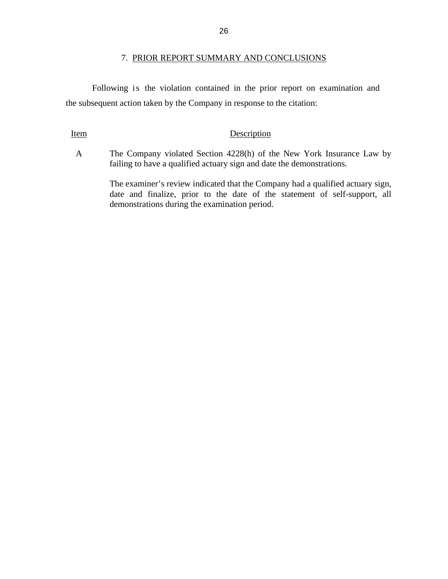## 7. PRIOR REPORT SUMMARY AND CONCLUSIONS

<span id="page-28-0"></span>Following is the violation contained in the prior report on examination and the subsequent action taken by the Company in response to the citation:

## Item Description

A The Company violated Section 4228(h) of the New York Insurance Law by failing to have a qualified actuary sign and date the demonstrations.

> The examiner's review indicated that the Company had a qualified actuary sign, date and finalize, prior to the date of the statement of self-support, all demonstrations during the examination period.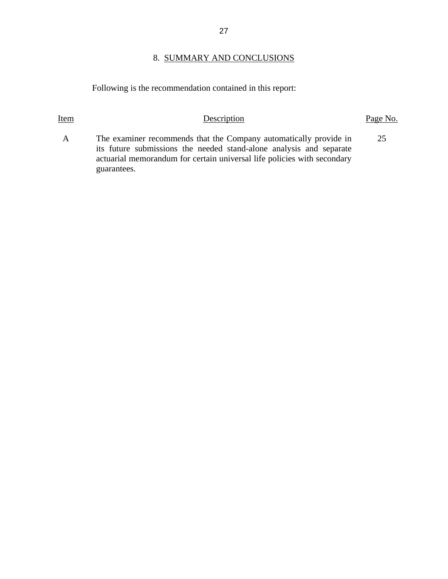## 8. SUMMARY AND CONCLUSIONS

Item Description Description Page No.

Following is the recommendation contained in this report:

A The examiner recommends that the Company automatically provide in its future submissions the needed stand-alone analysis and separate actuarial memorandum for certain universal life policies with secondary guarantees. 25